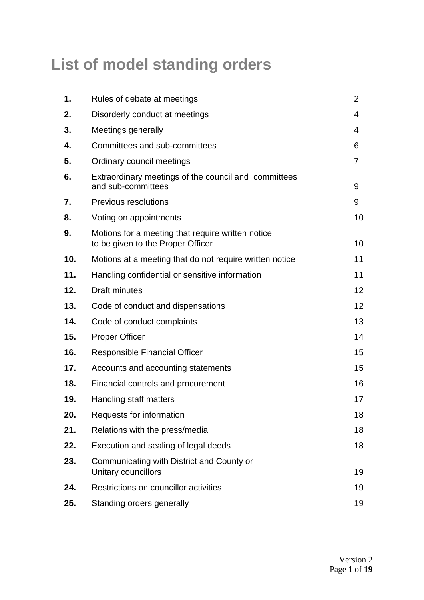# **List of model standing orders**

| 1.  | Rules of debate at meetings                                                            | $\overline{2}$ |
|-----|----------------------------------------------------------------------------------------|----------------|
| 2.  | Disorderly conduct at meetings                                                         | 4              |
| 3.  | Meetings generally                                                                     | 4              |
| 4.  | Committees and sub-committees                                                          | 6              |
| 5.  | Ordinary council meetings                                                              | 7              |
| 6.  | Extraordinary meetings of the council and committees<br>and sub-committees             | 9              |
| 7.  | <b>Previous resolutions</b>                                                            | 9              |
| 8.  | Voting on appointments                                                                 | 10             |
| 9.  | Motions for a meeting that require written notice<br>to be given to the Proper Officer | 10             |
| 10. | Motions at a meeting that do not require written notice                                | 11             |
| 11. | Handling confidential or sensitive information                                         | 11             |
| 12. | <b>Draft minutes</b>                                                                   | 12             |
| 13. | Code of conduct and dispensations                                                      | 12             |
| 14. | Code of conduct complaints                                                             | 13             |
| 15. | <b>Proper Officer</b>                                                                  | 14             |
| 16. | <b>Responsible Financial Officer</b>                                                   | 15             |
| 17. | Accounts and accounting statements                                                     | 15             |
| 18. | Financial controls and procurement                                                     | 16             |
| 19. | Handling staff matters                                                                 | 17             |
| 20. | Requests for information                                                               | 18             |
| 21. | Relations with the press/media                                                         | 18             |
| 22. | Execution and sealing of legal deeds                                                   | 18             |
| 23. | Communicating with District and County or<br>Unitary councillors                       | 19             |
| 24. | Restrictions on councillor activities                                                  | 19             |
| 25. | Standing orders generally                                                              | 19             |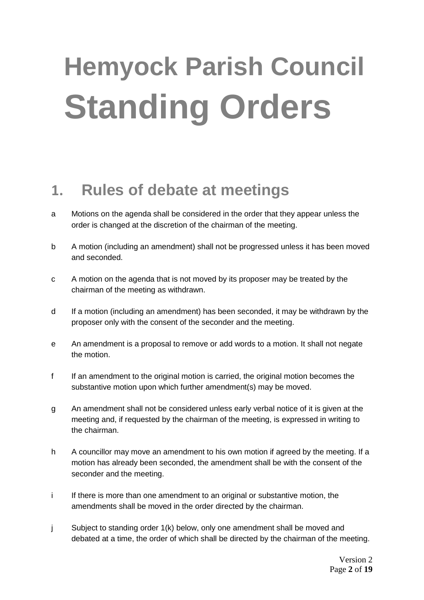# **Hemyock Parish Council Standing Orders**

### **1. Rules of debate at meetings**

- a Motions on the agenda shall be considered in the order that they appear unless the order is changed at the discretion of the chairman of the meeting.
- b A motion (including an amendment) shall not be progressed unless it has been moved and seconded.
- c A motion on the agenda that is not moved by its proposer may be treated by the chairman of the meeting as withdrawn.
- d If a motion (including an amendment) has been seconded, it may be withdrawn by the proposer only with the consent of the seconder and the meeting.
- e An amendment is a proposal to remove or add words to a motion. It shall not negate the motion.
- f If an amendment to the original motion is carried, the original motion becomes the substantive motion upon which further amendment(s) may be moved.
- g An amendment shall not be considered unless early verbal notice of it is given at the meeting and, if requested by the chairman of the meeting, is expressed in writing to the chairman.
- h A councillor may move an amendment to his own motion if agreed by the meeting. If a motion has already been seconded, the amendment shall be with the consent of the seconder and the meeting.
- i If there is more than one amendment to an original or substantive motion, the amendments shall be moved in the order directed by the chairman.
- j Subject to standing order 1(k) below, only one amendment shall be moved and debated at a time, the order of which shall be directed by the chairman of the meeting.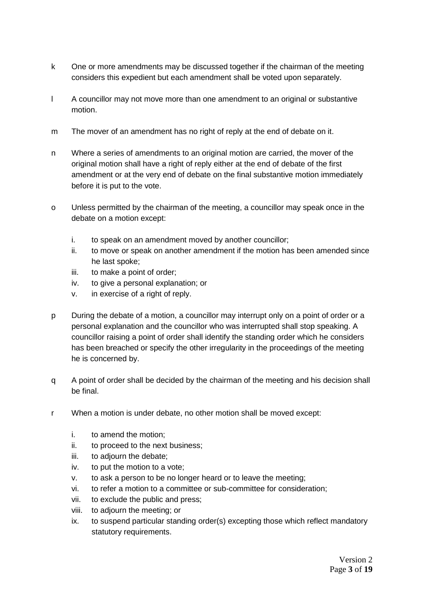- k One or more amendments may be discussed together if the chairman of the meeting considers this expedient but each amendment shall be voted upon separately.
- l A councillor may not move more than one amendment to an original or substantive motion.
- m The mover of an amendment has no right of reply at the end of debate on it.
- n Where a series of amendments to an original motion are carried, the mover of the original motion shall have a right of reply either at the end of debate of the first amendment or at the very end of debate on the final substantive motion immediately before it is put to the vote.
- o Unless permitted by the chairman of the meeting, a councillor may speak once in the debate on a motion except:
	- i. to speak on an amendment moved by another councillor;
	- ii. to move or speak on another amendment if the motion has been amended since he last spoke;
	- iii. to make a point of order;
	- iv. to give a personal explanation; or
	- v. in exercise of a right of reply.
- p During the debate of a motion, a councillor may interrupt only on a point of order or a personal explanation and the councillor who was interrupted shall stop speaking. A councillor raising a point of order shall identify the standing order which he considers has been breached or specify the other irregularity in the proceedings of the meeting he is concerned by.
- q A point of order shall be decided by the chairman of the meeting and his decision shall be final.
- r When a motion is under debate, no other motion shall be moved except:
	- i. to amend the motion;
	- ii. to proceed to the next business;
	- iii. to adjourn the debate;
	- iv. to put the motion to a vote;
	- v. to ask a person to be no longer heard or to leave the meeting;
	- vi. to refer a motion to a committee or sub-committee for consideration;
	- vii. to exclude the public and press;
	- viii. to adjourn the meeting; or
	- ix. to suspend particular standing order(s) excepting those which reflect mandatory statutory requirements.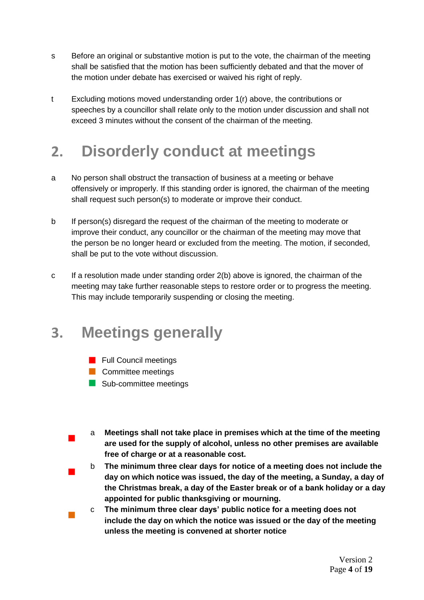- s Before an original or substantive motion is put to the vote, the chairman of the meeting shall be satisfied that the motion has been sufficiently debated and that the mover of the motion under debate has exercised or waived his right of reply.
- t Excluding motions moved understanding order 1(r) above, the contributions or speeches by a councillor shall relate only to the motion under discussion and shall not exceed 3 minutes without the consent of the chairman of the meeting.

# **2. Disorderly conduct at meetings**

- a No person shall obstruct the transaction of business at a meeting or behave offensively or improperly. If this standing order is ignored, the chairman of the meeting shall request such person(s) to moderate or improve their conduct.
- b If person(s) disregard the request of the chairman of the meeting to moderate or improve their conduct, any councillor or the chairman of the meeting may move that the person be no longer heard or excluded from the meeting. The motion, if seconded, shall be put to the vote without discussion.
- c If a resolution made under standing order 2(b) above is ignored, the chairman of the meeting may take further reasonable steps to restore order or to progress the meeting. This may include temporarily suspending or closing the meeting.

### **3. Meetings generally**

- **Full Council meetings**
- **Committee meetings**

 $\blacksquare$ 

- Sub-committee meetings
- $\mathcal{L}_{\mathcal{A}}$ a **Meetings shall not take place in premises which at the time of the meeting are used for the supply of alcohol, unless no other premises are available free of charge or at a reasonable cost.** 
	- b **The minimum three clear days for notice of a meeting does not include the day on which notice was issued, the day of the meeting, a Sunday, a day of the Christmas break, a day of the Easter break or of a bank holiday or a day appointed for public thanksgiving or mourning.**
- $\mathcal{L}_{\mathcal{A}}$ c **The minimum three clear days' public notice for a meeting does not include the day on which the notice was issued or the day of the meeting unless the meeting is convened at shorter notice**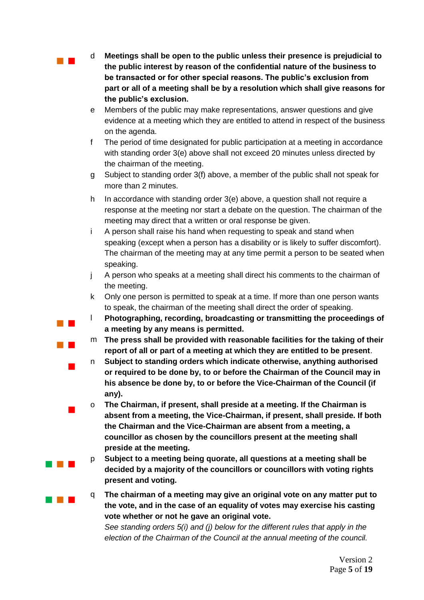**The Co** 

 $\mathcal{L}_{\mathcal{A}}$ 

 $\mathcal{L}_{\mathcal{A}}$ 

 $\mathcal{L}_{\mathcal{A}}$ 

 $\mathcal{L}_{\mathcal{A}}$ 

**Contract** 

and the control

d **Meetings shall be open to the public unless their presence is prejudicial to the public interest by reason of the confidential nature of the business to be transacted or for other special reasons. The public's exclusion from part or all of a meeting shall be by a resolution which shall give reasons for the public's exclusion.**

- e Members of the public may make representations, answer questions and give evidence at a meeting which they are entitled to attend in respect of the business on the agenda.
- f The period of time designated for public participation at a meeting in accordance with standing order 3(e) above shall not exceed 20 minutes unless directed by the chairman of the meeting.
- g Subject to standing order 3(f) above, a member of the public shall not speak for more than 2 minutes.
- h In accordance with standing order 3(e) above, a question shall not require a response at the meeting nor start a debate on the question. The chairman of the meeting may direct that a written or oral response be given.
- i A person shall raise his hand when requesting to speak and stand when speaking (except when a person has a disability or is likely to suffer discomfort). The chairman of the meeting may at any time permit a person to be seated when speaking.
- j A person who speaks at a meeting shall direct his comments to the chairman of the meeting.
- k Only one person is permitted to speak at a time. If more than one person wants to speak, the chairman of the meeting shall direct the order of speaking.
- l **Photographing, recording, broadcasting or transmitting the proceedings of a meeting by any means is permitted.**
- m **The press shall be provided with reasonable facilities for the taking of their report of all or part of a meeting at which they are entitled to be present**.
- n **Subject to standing orders which indicate otherwise, anything authorised or required to be done by, to or before the Chairman of the Council may in his absence be done by, to or before the Vice-Chairman of the Council (if any).**
- o **The Chairman, if present, shall preside at a meeting. If the Chairman is absent from a meeting, the Vice-Chairman, if present, shall preside. If both the Chairman and the Vice-Chairman are absent from a meeting, a councillor as chosen by the councillors present at the meeting shall preside at the meeting.**
- p **Subject to a meeting being quorate, all questions at a meeting shall be decided by a majority of the councillors or councillors with voting rights present and voting.**
- q **The chairman of a meeting may give an original vote on any matter put to the vote, and in the case of an equality of votes may exercise his casting vote whether or not he gave an original vote.**

*See standing orders 5(i) and (j) below for the different rules that apply in the election of the Chairman of the Council at the annual meeting of the council.*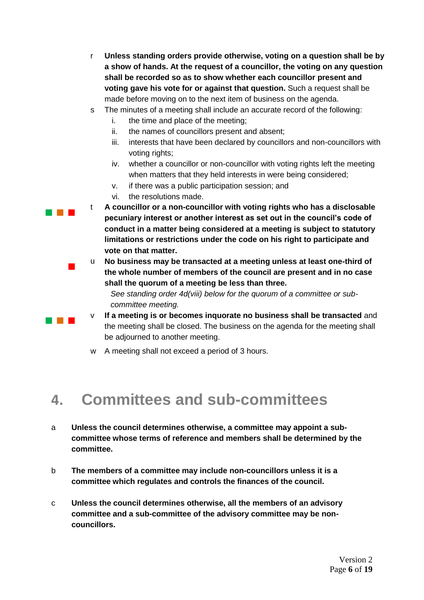- r **Unless standing orders provide otherwise, voting on a question shall be by a show of hands. At the request of a councillor, the voting on any question shall be recorded so as to show whether each councillor present and voting gave his vote for or against that question.** Such a request shall be made before moving on to the next item of business on the agenda.
- s The minutes of a meeting shall include an accurate record of the following:
	- i. the time and place of the meeting;
	- ii. the names of councillors present and absent;
	- iii. interests that have been declared by councillors and non-councillors with voting rights;
	- iv. whether a councillor or non-councillor with voting rights left the meeting when matters that they held interests in were being considered;
	- v. if there was a public participation session; and
	- vi. the resolutions made.

 $\mathcal{L}_{\mathcal{A}}$ 

an an Ind

and the control t **A councillor or a non-councillor with voting rights who has a disclosable pecuniary interest or another interest as set out in the council's code of conduct in a matter being considered at a meeting is subject to statutory limitations or restrictions under the code on his right to participate and vote on that matter.**

> u **No business may be transacted at a meeting unless at least one-third of the whole number of members of the council are present and in no case shall the quorum of a meeting be less than three.**

*See standing order 4d(viii) below for the quorum of a committee or subcommittee meeting.* 

- v **If a meeting is or becomes inquorate no business shall be transacted** and the meeting shall be closed. The business on the agenda for the meeting shall be adjourned to another meeting.
- w A meeting shall not exceed a period of 3 hours.

### **4. Committees and sub-committees**

- a **Unless the council determines otherwise, a committee may appoint a subcommittee whose terms of reference and members shall be determined by the committee.**
- b **The members of a committee may include non-councillors unless it is a committee which regulates and controls the finances of the council.**
- c **Unless the council determines otherwise, all the members of an advisory committee and a sub-committee of the advisory committee may be noncouncillors.**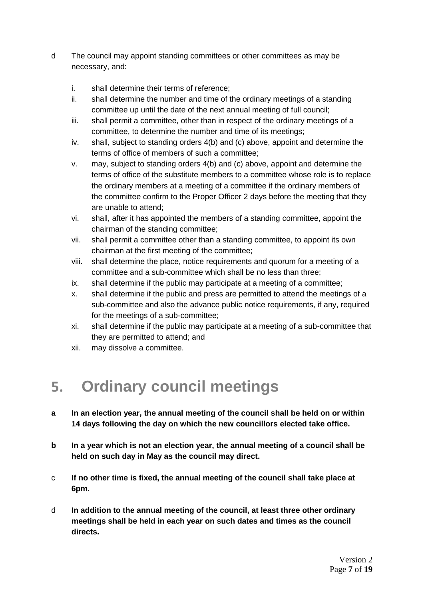- d The council may appoint standing committees or other committees as may be necessary, and:
	- i. shall determine their terms of reference;
	- ii. shall determine the number and time of the ordinary meetings of a standing committee up until the date of the next annual meeting of full council;
	- iii. shall permit a committee, other than in respect of the ordinary meetings of a committee, to determine the number and time of its meetings;
	- iv. shall, subject to standing orders 4(b) and (c) above, appoint and determine the terms of office of members of such a committee;
	- v. may, subject to standing orders 4(b) and (c) above, appoint and determine the terms of office of the substitute members to a committee whose role is to replace the ordinary members at a meeting of a committee if the ordinary members of the committee confirm to the Proper Officer 2 days before the meeting that they are unable to attend;
	- vi. shall, after it has appointed the members of a standing committee, appoint the chairman of the standing committee;
	- vii. shall permit a committee other than a standing committee, to appoint its own chairman at the first meeting of the committee;
	- viii. shall determine the place, notice requirements and quorum for a meeting of a committee and a sub-committee which shall be no less than three;
	- ix. shall determine if the public may participate at a meeting of a committee;
	- x. shall determine if the public and press are permitted to attend the meetings of a sub-committee and also the advance public notice requirements, if any, required for the meetings of a sub-committee;
	- xi. shall determine if the public may participate at a meeting of a sub-committee that they are permitted to attend; and
	- xii. may dissolve a committee.

### **5. Ordinary council meetings**

- **a In an election year, the annual meeting of the council shall be held on or within 14 days following the day on which the new councillors elected take office.**
- **b In a year which is not an election year, the annual meeting of a council shall be held on such day in May as the council may direct.**
- c **If no other time is fixed, the annual meeting of the council shall take place at 6pm.**
- d **In addition to the annual meeting of the council, at least three other ordinary meetings shall be held in each year on such dates and times as the council directs.**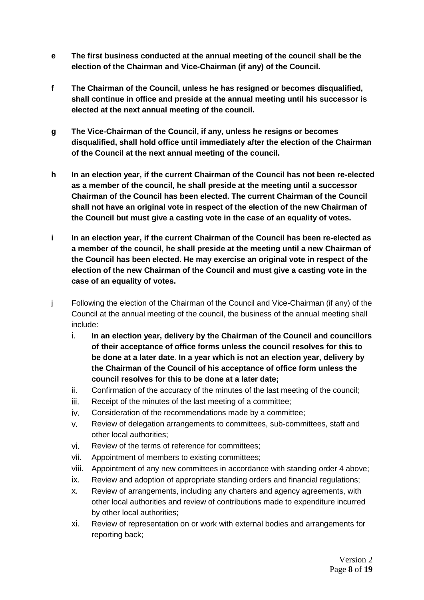- **e The first business conducted at the annual meeting of the council shall be the election of the Chairman and Vice-Chairman (if any) of the Council.**
- **f The Chairman of the Council, unless he has resigned or becomes disqualified, shall continue in office and preside at the annual meeting until his successor is elected at the next annual meeting of the council.**
- **g The Vice-Chairman of the Council, if any, unless he resigns or becomes disqualified, shall hold office until immediately after the election of the Chairman of the Council at the next annual meeting of the council.**
- **h In an election year, if the current Chairman of the Council has not been re-elected as a member of the council, he shall preside at the meeting until a successor Chairman of the Council has been elected. The current Chairman of the Council shall not have an original vote in respect of the election of the new Chairman of the Council but must give a casting vote in the case of an equality of votes.**
- **i In an election year, if the current Chairman of the Council has been re-elected as a member of the council, he shall preside at the meeting until a new Chairman of the Council has been elected. He may exercise an original vote in respect of the election of the new Chairman of the Council and must give a casting vote in the case of an equality of votes.**
- j Following the election of the Chairman of the Council and Vice-Chairman (if any) of the Council at the annual meeting of the council, the business of the annual meeting shall include:
	- i. **In an election year, delivery by the Chairman of the Council and councillors of their acceptance of office forms unless the council resolves for this to be done at a later date**. **In a year which is not an election year, delivery by the Chairman of the Council of his acceptance of office form unless the council resolves for this to be done at a later date;**
	- ii. Confirmation of the accuracy of the minutes of the last meeting of the council;
	- iii. Receipt of the minutes of the last meeting of a committee;
	- iv. Consideration of the recommendations made by a committee;
	- v. Review of delegation arrangements to committees, sub-committees, staff and other local authorities;
	- vi. Review of the terms of reference for committees;
	- vii. Appointment of members to existing committees;
	- viii. Appointment of any new committees in accordance with standing order 4 above;
	- ix. Review and adoption of appropriate standing orders and financial regulations;
	- x. Review of arrangements, including any charters and agency agreements, with other local authorities and review of contributions made to expenditure incurred by other local authorities;
	- xi. Review of representation on or work with external bodies and arrangements for reporting back;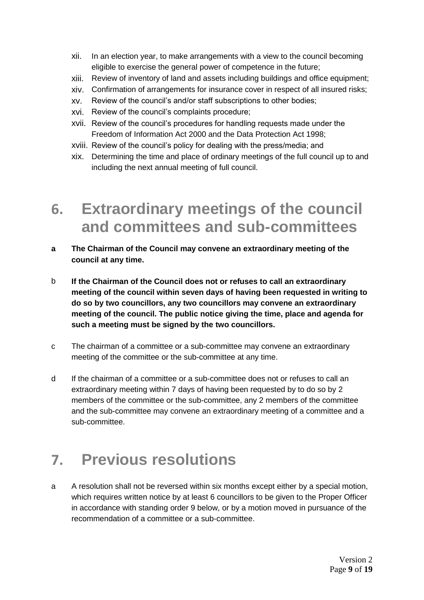- xii. In an election year, to make arrangements with a view to the council becoming eligible to exercise the general power of competence in the future;
- xiii. Review of inventory of land and assets including buildings and office equipment;
- xiv. Confirmation of arrangements for insurance cover in respect of all insured risks;
- xv. Review of the council's and/or staff subscriptions to other bodies;
- xvi. Review of the council's complaints procedure;
- xvii. Review of the council's procedures for handling requests made under the Freedom of Information Act 2000 and the Data Protection Act 1998;
- xviii. Review of the council's policy for dealing with the press/media; and
- xix. Determining the time and place of ordinary meetings of the full council up to and including the next annual meeting of full council.

### **6. Extraordinary meetings of the council and committees and sub-committees**

- **a The Chairman of the Council may convene an extraordinary meeting of the council at any time.**
- b **If the Chairman of the Council does not or refuses to call an extraordinary meeting of the council within seven days of having been requested in writing to do so by two councillors, any two councillors may convene an extraordinary meeting of the council. The public notice giving the time, place and agenda for such a meeting must be signed by the two councillors.**
- c The chairman of a committee or a sub-committee may convene an extraordinary meeting of the committee or the sub-committee at any time.
- d If the chairman of a committee or a sub-committee does not or refuses to call an extraordinary meeting within 7 days of having been requested by to do so by 2 members of the committee or the sub-committee, any 2 members of the committee and the sub-committee may convene an extraordinary meeting of a committee and a sub-committee.

## **7. Previous resolutions**

a A resolution shall not be reversed within six months except either by a special motion, which requires written notice by at least 6 councillors to be given to the Proper Officer in accordance with standing order 9 below, or by a motion moved in pursuance of the recommendation of a committee or a sub-committee.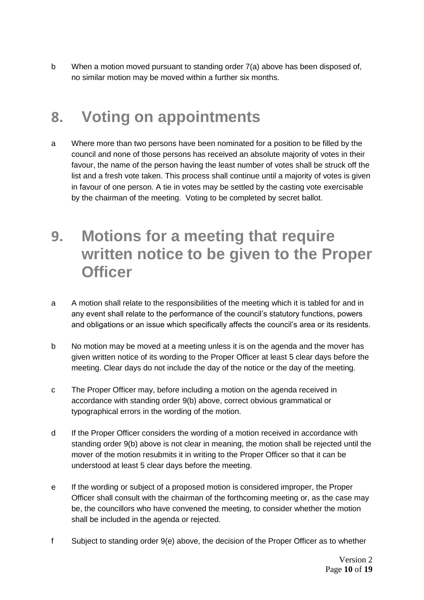b When a motion moved pursuant to standing order 7(a) above has been disposed of, no similar motion may be moved within a further six months.

### **8. Voting on appointments**

- a Where more than two persons have been nominated for a position to be filled by the council and none of those persons has received an absolute majority of votes in their favour, the name of the person having the least number of votes shall be struck off the list and a fresh vote taken. This process shall continue until a majority of votes is given in favour of one person. A tie in votes may be settled by the casting vote exercisable by the chairman of the meeting. Voting to be completed by secret ballot.
- **9. Motions for a meeting that require written notice to be given to the Proper Officer**
- a A motion shall relate to the responsibilities of the meeting which it is tabled for and in any event shall relate to the performance of the council's statutory functions, powers and obligations or an issue which specifically affects the council's area or its residents.
- b No motion may be moved at a meeting unless it is on the agenda and the mover has given written notice of its wording to the Proper Officer at least 5 clear days before the meeting. Clear days do not include the day of the notice or the day of the meeting.
- c The Proper Officer may, before including a motion on the agenda received in accordance with standing order 9(b) above, correct obvious grammatical or typographical errors in the wording of the motion.
- d If the Proper Officer considers the wording of a motion received in accordance with standing order 9(b) above is not clear in meaning, the motion shall be rejected until the mover of the motion resubmits it in writing to the Proper Officer so that it can be understood at least 5 clear days before the meeting.
- e If the wording or subject of a proposed motion is considered improper, the Proper Officer shall consult with the chairman of the forthcoming meeting or, as the case may be, the councillors who have convened the meeting, to consider whether the motion shall be included in the agenda or rejected.
- f Subject to standing order 9(e) above, the decision of the Proper Officer as to whether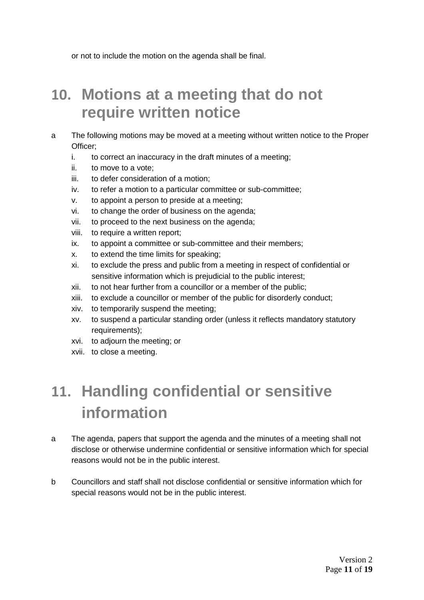or not to include the motion on the agenda shall be final.

### **10. Motions at a meeting that do not require written notice**

- a The following motions may be moved at a meeting without written notice to the Proper Officer;
	- i. to correct an inaccuracy in the draft minutes of a meeting;
	- ii. to move to a vote;
	- iii. to defer consideration of a motion;
	- iv. to refer a motion to a particular committee or sub-committee;
	- v. to appoint a person to preside at a meeting;
	- vi. to change the order of business on the agenda;
	- vii. to proceed to the next business on the agenda;
	- viii. to require a written report;
	- ix. to appoint a committee or sub-committee and their members;
	- x. to extend the time limits for speaking;
	- xi. to exclude the press and public from a meeting in respect of confidential or sensitive information which is prejudicial to the public interest;
	- xii. to not hear further from a councillor or a member of the public;
	- xiii. to exclude a councillor or member of the public for disorderly conduct;
	- xiv. to temporarily suspend the meeting;
	- xv. to suspend a particular standing order (unless it reflects mandatory statutory requirements);
	- xvi. to adjourn the meeting; or
	- xvii. to close a meeting.

# **11. Handling confidential or sensitive information**

- a The agenda, papers that support the agenda and the minutes of a meeting shall not disclose or otherwise undermine confidential or sensitive information which for special reasons would not be in the public interest.
- b Councillors and staff shall not disclose confidential or sensitive information which for special reasons would not be in the public interest.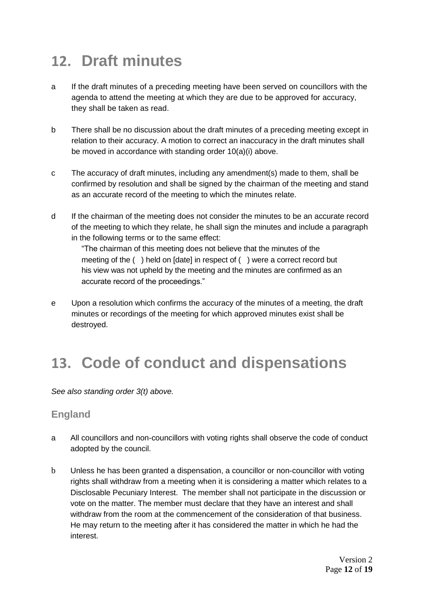### **12. Draft minutes**

- a If the draft minutes of a preceding meeting have been served on councillors with the agenda to attend the meeting at which they are due to be approved for accuracy, they shall be taken as read.
- b There shall be no discussion about the draft minutes of a preceding meeting except in relation to their accuracy. A motion to correct an inaccuracy in the draft minutes shall be moved in accordance with standing order 10(a)(i) above.
- c The accuracy of draft minutes, including any amendment(s) made to them, shall be confirmed by resolution and shall be signed by the chairman of the meeting and stand as an accurate record of the meeting to which the minutes relate.
- d If the chairman of the meeting does not consider the minutes to be an accurate record of the meeting to which they relate, he shall sign the minutes and include a paragraph in the following terms or to the same effect:

"The chairman of this meeting does not believe that the minutes of the meeting of the ( ) held on [date] in respect of ( ) were a correct record but his view was not upheld by the meeting and the minutes are confirmed as an accurate record of the proceedings."

e Upon a resolution which confirms the accuracy of the minutes of a meeting, the draft minutes or recordings of the meeting for which approved minutes exist shall be destroyed.

### **13. Code of conduct and dispensations**

*See also standing order 3(t) above.* 

#### **England**

- a All councillors and non-councillors with voting rights shall observe the code of conduct adopted by the council.
- b Unless he has been granted a dispensation, a councillor or non-councillor with voting rights shall withdraw from a meeting when it is considering a matter which relates to a Disclosable Pecuniary Interest. The member shall not participate in the discussion or vote on the matter. The member must declare that they have an interest and shall withdraw from the room at the commencement of the consideration of that business. He may return to the meeting after it has considered the matter in which he had the interest.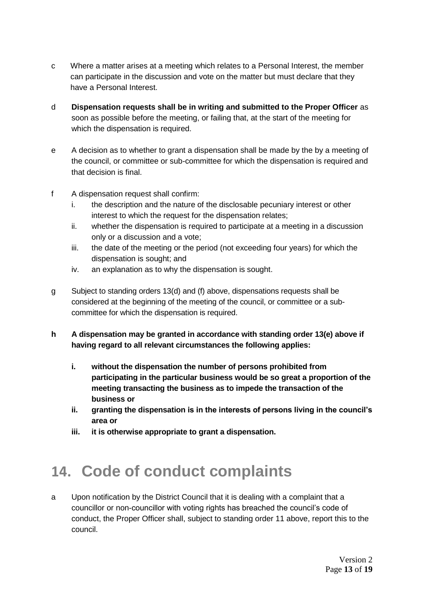- c Where a matter arises at a meeting which relates to a Personal Interest, the member can participate in the discussion and vote on the matter but must declare that they have a Personal Interest.
- d **Dispensation requests shall be in writing and submitted to the Proper Officer** as soon as possible before the meeting, or failing that, at the start of the meeting for which the dispensation is required.
- e A decision as to whether to grant a dispensation shall be made by the by a meeting of the council, or committee or sub-committee for which the dispensation is required and that decision is final.
- f A dispensation request shall confirm:
	- i. the description and the nature of the disclosable pecuniary interest or other interest to which the request for the dispensation relates;
	- ii. whether the dispensation is required to participate at a meeting in a discussion only or a discussion and a vote;
	- iii. the date of the meeting or the period (not exceeding four years) for which the dispensation is sought; and
	- iv. an explanation as to why the dispensation is sought.
- g Subject to standing orders 13(d) and (f) above, dispensations requests shall be considered at the beginning of the meeting of the council, or committee or a subcommittee for which the dispensation is required.
- **h A dispensation may be granted in accordance with standing order 13(e) above if having regard to all relevant circumstances the following applies:**
	- **i. without the dispensation the number of persons prohibited from participating in the particular business would be so great a proportion of the meeting transacting the business as to impede the transaction of the business or**
	- **ii. granting the dispensation is in the interests of persons living in the council's area or**
	- **iii. it is otherwise appropriate to grant a dispensation.**

# **14. Code of conduct complaints**

a Upon notification by the District Council that it is dealing with a complaint that a councillor or non-councillor with voting rights has breached the council's code of conduct, the Proper Officer shall, subject to standing order 11 above, report this to the council.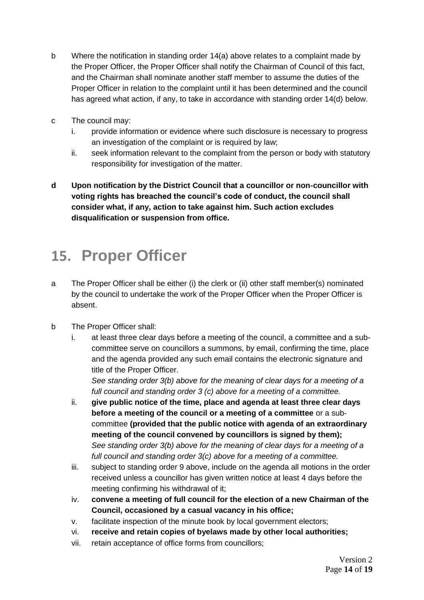- b Where the notification in standing order 14(a) above relates to a complaint made by the Proper Officer, the Proper Officer shall notify the Chairman of Council of this fact, and the Chairman shall nominate another staff member to assume the duties of the Proper Officer in relation to the complaint until it has been determined and the council has agreed what action, if any, to take in accordance with standing order 14(d) below.
- c The council may:
	- i. provide information or evidence where such disclosure is necessary to progress an investigation of the complaint or is required by law;
	- ii. seek information relevant to the complaint from the person or body with statutory responsibility for investigation of the matter.
- **d Upon notification by the District Council that a councillor or non-councillor with voting rights has breached the council's code of conduct, the council shall consider what, if any, action to take against him. Such action excludes disqualification or suspension from office.**

### **15. Proper Officer**

- a The Proper Officer shall be either (i) the clerk or (ii) other staff member(s) nominated by the council to undertake the work of the Proper Officer when the Proper Officer is absent.
- b The Proper Officer shall:
	- i. at least three clear days before a meeting of the council, a committee and a subcommittee serve on councillors a summons, by email, confirming the time, place and the agenda provided any such email contains the electronic signature and title of the Proper Officer.

*See standing order 3(b) above for the meaning of clear days for a meeting of a full council and standing order 3 (c) above for a meeting of a committee.*

- ii. **give public notice of the time, place and agenda at least three clear days before a meeting of the council or a meeting of a committee** or a subcommittee **(provided that the public notice with agenda of an extraordinary meeting of the council convened by councillors is signed by them);** *See standing order 3(b) above for the meaning of clear days for a meeting of a full council and standing order 3(c) above for a meeting of a committee.*
- iii. subject to standing order 9 above, include on the agenda all motions in the order received unless a councillor has given written notice at least 4 days before the meeting confirming his withdrawal of it;
- iv. **convene a meeting of full council for the election of a new Chairman of the Council, occasioned by a casual vacancy in his office;**
- v. facilitate inspection of the minute book by local government electors;
- vi. **receive and retain copies of byelaws made by other local authorities;**
- vii. retain acceptance of office forms from councillors;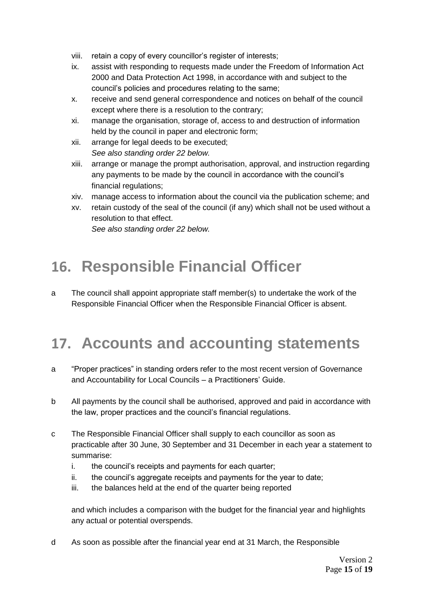- viii. retain a copy of every councillor's register of interests;
- ix. assist with responding to requests made under the Freedom of Information Act 2000 and Data Protection Act 1998, in accordance with and subject to the council's policies and procedures relating to the same;
- x. receive and send general correspondence and notices on behalf of the council except where there is a resolution to the contrary;
- xi. manage the organisation, storage of, access to and destruction of information held by the council in paper and electronic form;
- xii. arrange for legal deeds to be executed; *See also standing order 22 below.*
- xiii. arrange or manage the prompt authorisation, approval, and instruction regarding any payments to be made by the council in accordance with the council's financial regulations;
- xiv. manage access to information about the council via the publication scheme; and
- xv. retain custody of the seal of the council (if any) which shall not be used without a resolution to that effect. *See also standing order 22 below.*

# **16. Responsible Financial Officer**

a The council shall appoint appropriate staff member(s) to undertake the work of the Responsible Financial Officer when the Responsible Financial Officer is absent.

### **17. Accounts and accounting statements**

- a "Proper practices" in standing orders refer to the most recent version of Governance and Accountability for Local Councils – a Practitioners' Guide.
- b All payments by the council shall be authorised, approved and paid in accordance with the law, proper practices and the council's financial regulations.
- c The Responsible Financial Officer shall supply to each councillor as soon as practicable after 30 June, 30 September and 31 December in each year a statement to summarise:
	- i. the council's receipts and payments for each quarter;
	- ii. the council's aggregate receipts and payments for the year to date;
	- iii. the balances held at the end of the quarter being reported

and which includes a comparison with the budget for the financial year and highlights any actual or potential overspends.

d As soon as possible after the financial year end at 31 March, the Responsible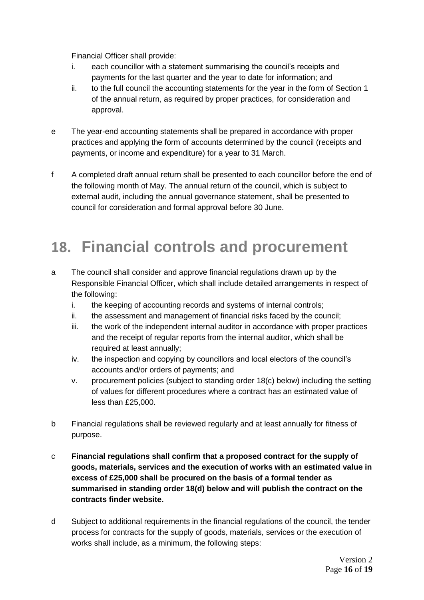Financial Officer shall provide:

- i. each councillor with a statement summarising the council's receipts and payments for the last quarter and the year to date for information; and
- ii. to the full council the accounting statements for the year in the form of Section 1 of the annual return, as required by proper practices, for consideration and approval.
- e The year-end accounting statements shall be prepared in accordance with proper practices and applying the form of accounts determined by the council (receipts and payments, or income and expenditure) for a year to 31 March.
- f A completed draft annual return shall be presented to each councillor before the end of the following month of May. The annual return of the council, which is subject to external audit, including the annual governance statement, shall be presented to council for consideration and formal approval before 30 June.

# **18. Financial controls and procurement**

- a The council shall consider and approve financial regulations drawn up by the Responsible Financial Officer, which shall include detailed arrangements in respect of the following:
	- i. the keeping of accounting records and systems of internal controls;
	- ii. the assessment and management of financial risks faced by the council;
	- iii. the work of the independent internal auditor in accordance with proper practices and the receipt of regular reports from the internal auditor, which shall be required at least annually;
	- iv. the inspection and copying by councillors and local electors of the council's accounts and/or orders of payments; and
	- v. procurement policies (subject to standing order 18(c) below) including the setting of values for different procedures where a contract has an estimated value of less than £25,000.
- b Financial regulations shall be reviewed regularly and at least annually for fitness of purpose.
- c **Financial regulations shall confirm that a proposed contract for the supply of goods, materials, services and the execution of works with an estimated value in excess of £25,000 shall be procured on the basis of a formal tender as summarised in standing order 18(d) below and will publish the contract on the contracts finder website.**
- d Subject to additional requirements in the financial regulations of the council, the tender process for contracts for the supply of goods, materials, services or the execution of works shall include, as a minimum, the following steps: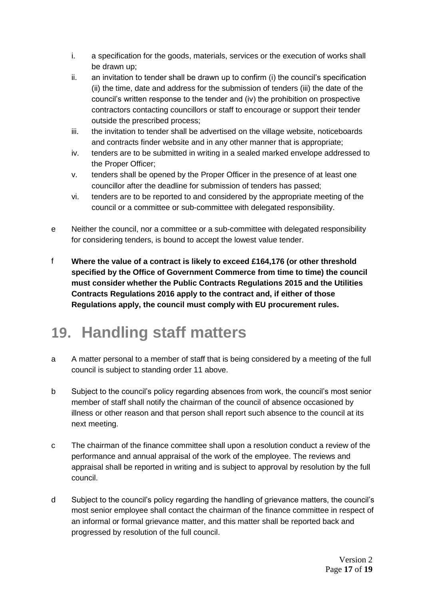- i. a specification for the goods, materials, services or the execution of works shall be drawn up;
- ii. an invitation to tender shall be drawn up to confirm (i) the council's specification (ii) the time, date and address for the submission of tenders (iii) the date of the council's written response to the tender and (iv) the prohibition on prospective contractors contacting councillors or staff to encourage or support their tender outside the prescribed process;
- iii. the invitation to tender shall be advertised on the village website, noticeboards and contracts finder website and in any other manner that is appropriate;
- iv. tenders are to be submitted in writing in a sealed marked envelope addressed to the Proper Officer;
- v. tenders shall be opened by the Proper Officer in the presence of at least one councillor after the deadline for submission of tenders has passed;
- vi. tenders are to be reported to and considered by the appropriate meeting of the council or a committee or sub-committee with delegated responsibility.
- e Neither the council, nor a committee or a sub-committee with delegated responsibility for considering tenders, is bound to accept the lowest value tender.
- f **Where the value of a contract is likely to exceed £164,176 (or other threshold specified by the Office of Government Commerce from time to time) the council must consider whether the Public Contracts Regulations 2015 and the Utilities Contracts Regulations 2016 apply to the contract and, if either of those Regulations apply, the council must comply with EU procurement rules.**

# **19. Handling staff matters**

- a A matter personal to a member of staff that is being considered by a meeting of the full council is subject to standing order 11 above.
- b Subject to the council's policy regarding absences from work, the council's most senior member of staff shall notify the chairman of the council of absence occasioned by illness or other reason and that person shall report such absence to the council at its next meeting.
- c The chairman of the finance committee shall upon a resolution conduct a review of the performance and annual appraisal of the work of the employee. The reviews and appraisal shall be reported in writing and is subject to approval by resolution by the full council.
- d Subject to the council's policy regarding the handling of grievance matters, the council's most senior employee shall contact the chairman of the finance committee in respect of an informal or formal grievance matter, and this matter shall be reported back and progressed by resolution of the full council.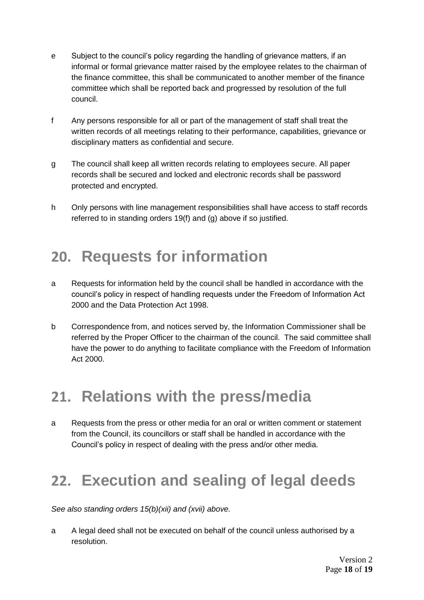- e Subject to the council's policy regarding the handling of grievance matters, if an informal or formal grievance matter raised by the employee relates to the chairman of the finance committee, this shall be communicated to another member of the finance committee which shall be reported back and progressed by resolution of the full council.
- f Any persons responsible for all or part of the management of staff shall treat the written records of all meetings relating to their performance, capabilities, grievance or disciplinary matters as confidential and secure.
- g The council shall keep all written records relating to employees secure. All paper records shall be secured and locked and electronic records shall be password protected and encrypted.
- h Only persons with line management responsibilities shall have access to staff records referred to in standing orders 19(f) and (g) above if so justified.

# **20. Requests for information**

- a Requests for information held by the council shall be handled in accordance with the council's policy in respect of handling requests under the Freedom of Information Act 2000 and the Data Protection Act 1998.
- b Correspondence from, and notices served by, the Information Commissioner shall be referred by the Proper Officer to the chairman of the council. The said committee shall have the power to do anything to facilitate compliance with the Freedom of Information Act 2000.

# **21. Relations with the press/media**

a Requests from the press or other media for an oral or written comment or statement from the Council, its councillors or staff shall be handled in accordance with the Council's policy in respect of dealing with the press and/or other media.

# **22. Execution and sealing of legal deeds**

*See also standing orders 15(b)(xii) and (xvii) above.*

a A legal deed shall not be executed on behalf of the council unless authorised by a resolution.